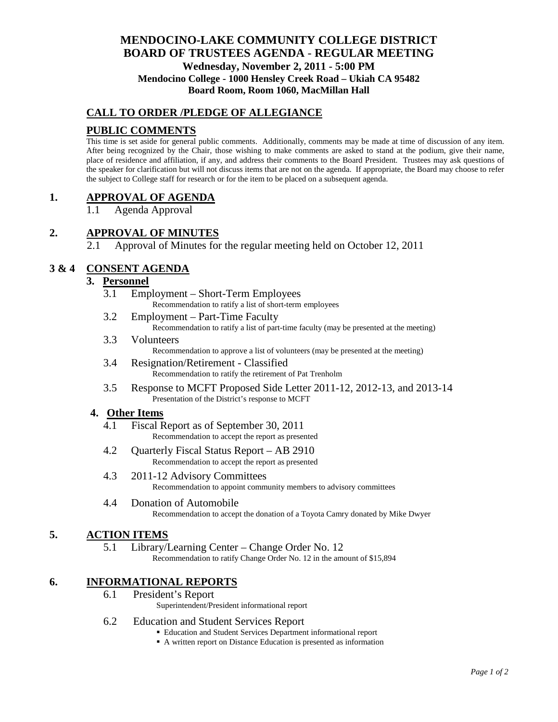# **MENDOCINO-LAKE COMMUNITY COLLEGE DISTRICT BOARD OF TRUSTEES AGENDA** - **REGULAR MEETING Wednesday, November 2, 2011 - 5:00 PM Mendocino College - 1000 Hensley Creek Road – Ukiah CA 95482 Board Room, Room 1060, MacMillan Hall**

# **CALL TO ORDER /PLEDGE OF ALLEGIANCE**

## **PUBLIC COMMENTS**

This time is set aside for general public comments. Additionally, comments may be made at time of discussion of any item. After being recognized by the Chair, those wishing to make comments are asked to stand at the podium, give their name, place of residence and affiliation, if any, and address their comments to the Board President. Trustees may ask questions of the speaker for clarification but will not discuss items that are not on the agenda. If appropriate, the Board may choose to refer the subject to College staff for research or for the item to be placed on a subsequent agenda.

## **1. APPROVAL OF AGENDA**

Agenda Approval

# **2. APPROVAL OF MINUTES**

2.1 Approval of Minutes for the regular meeting held on October 12, 2011

## **3 & 4 CONSENT AGENDA**

## **3. Personnel**

- 3.1 Employment Short-Term Employees Recommendation to ratify a list of short-term employees
- 3.2 Employment Part-Time Faculty Recommendation to ratify a list of part-time faculty (may be presented at the meeting)
- 3.3 Volunteers Recommendation to approve a list of volunteers (may be presented at the meeting)
- 3.4 Resignation/Retirement Classified Recommendation to ratify the retirement of Pat Trenholm
- 3.5 Response to MCFT Proposed Side Letter 2011-12, 2012-13, and 2013-14 Presentation of the District's response to MCFT

### **4. Other Items**

- 4.1 Fiscal Report as of September 30, 2011 Recommendation to accept the report as presented
- 4.2 Quarterly Fiscal Status Report AB 2910 Recommendation to accept the report as presented
- 4.3 2011-12 Advisory Committees Recommendation to appoint community members to advisory committees
- 4.4 Donation of Automobile Recommendation to accept the donation of a Toyota Camry donated by Mike Dwyer

## **5. ACTION ITEMS**

5.1 Library/Learning Center – Change Order No. 12 Recommendation to ratify Change Order No. 12 in the amount of \$15,894

## **6. INFORMATIONAL REPORTS**

6.1 President's Report

Superintendent/President informational report

- 6.2 Education and Student Services Report
	- Education and Student Services Department informational report
	- A written report on Distance Education is presented as information